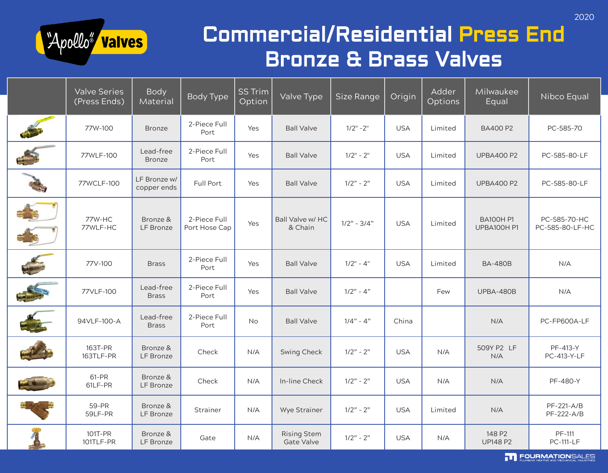

### Commercial/Residential Press End Bronze & Brass Valves

| <b>Valve Series</b><br>(Press Ends) | <b>Body</b><br>Material     | <b>Body Type</b>              | <b>SS Trim</b><br>Option | Valve Type                         | Size Range    | Origin     | Adder<br>Options | Milwaukee<br>Equal              | Nibco Equal                     |
|-------------------------------------|-----------------------------|-------------------------------|--------------------------|------------------------------------|---------------|------------|------------------|---------------------------------|---------------------------------|
| 77W-100                             | <b>Bronze</b>               | 2-Piece Full<br>Port          | Yes                      | <b>Ball Valve</b>                  | $1/2" - 2"$   | <b>USA</b> | Limited          | <b>BA400 P2</b>                 | PC-585-70                       |
| 77WLF-100                           | Lead-free<br><b>Bronze</b>  | 2-Piece Full<br>Port          | Yes                      | <b>Ball Valve</b>                  | $1/2" - 2"$   | <b>USA</b> | Limited          | <b>UPBA400 P2</b>               | PC-585-80-LF                    |
| 77WCLF-100                          | LF Bronze w/<br>copper ends | Full Port                     | Yes                      | <b>Ball Valve</b>                  | $1/2" - 2"$   | <b>USA</b> | Limited          | <b>UPBA400 P2</b>               | PC-585-80-LF                    |
| 77W-HC<br>77WLF-HC                  | Bronze &<br>LF Bronze       | 2-Piece Full<br>Port Hose Cap | Yes                      | <b>Ball Valve w/ HC</b><br>& Chain | $1/2" - 3/4"$ | <b>USA</b> | Limited          | <b>BA100H P1</b><br>UPBA100H P1 | PC-585-70-HC<br>PC-585-80-LF-HC |
| 77V-100                             | <b>Brass</b>                | 2-Piece Full<br>Port          | Yes                      | <b>Ball Valve</b>                  | $1/2" - 4"$   | <b>USA</b> | Limited          | <b>BA-480B</b>                  | N/A                             |
| 77VLF-100                           | Lead-free<br><b>Brass</b>   | 2-Piece Full<br>Port          | Yes                      | <b>Ball Valve</b>                  | $1/2" - 4"$   |            | Few              | UPBA-480B                       | N/A                             |
| 94VLF-100-A                         | Lead-free<br><b>Brass</b>   | 2-Piece Full<br>Port          | No                       | <b>Ball Valve</b>                  | $1/4" - 4"$   | China      |                  | N/A                             | PC-FP600A-LF                    |
| 163T-PR<br>163TLF-PR                | Bronze &<br>LF Bronze       | Check                         | N/A                      | <b>Swing Check</b>                 | $1/2" - 2"$   | <b>USA</b> | N/A              | 509Y P2 LF<br>N/A               | PF-413-Y<br>PC-413-Y-LF         |
| 61-PR<br>61LF-PR                    | Bronze &<br>LF Bronze       | Check                         | N/A                      | In-line Check                      | $1/2" - 2"$   | <b>USA</b> | N/A              | N/A                             | PF-480-Y                        |
| 59-PR<br>59LF-PR                    | Bronze &<br>LF Bronze       | Strainer                      | N/A                      | Wye Strainer                       | $1/2" - 2"$   | <b>USA</b> | Limited          | N/A                             | PF-221-A/B<br>PF-222-A/B        |
| 101T-PR<br>101TLF-PR                | Bronze &<br>LF Bronze       | Gate                          | N/A                      | <b>Rising Stem</b><br>Gate Valve   | $1/2" - 2"$   | <b>USA</b> | N/A              | 148 P2<br><b>UP148 P2</b>       | PF-111<br><b>PC-111-LF</b>      |

TT FOURMATIONSALES